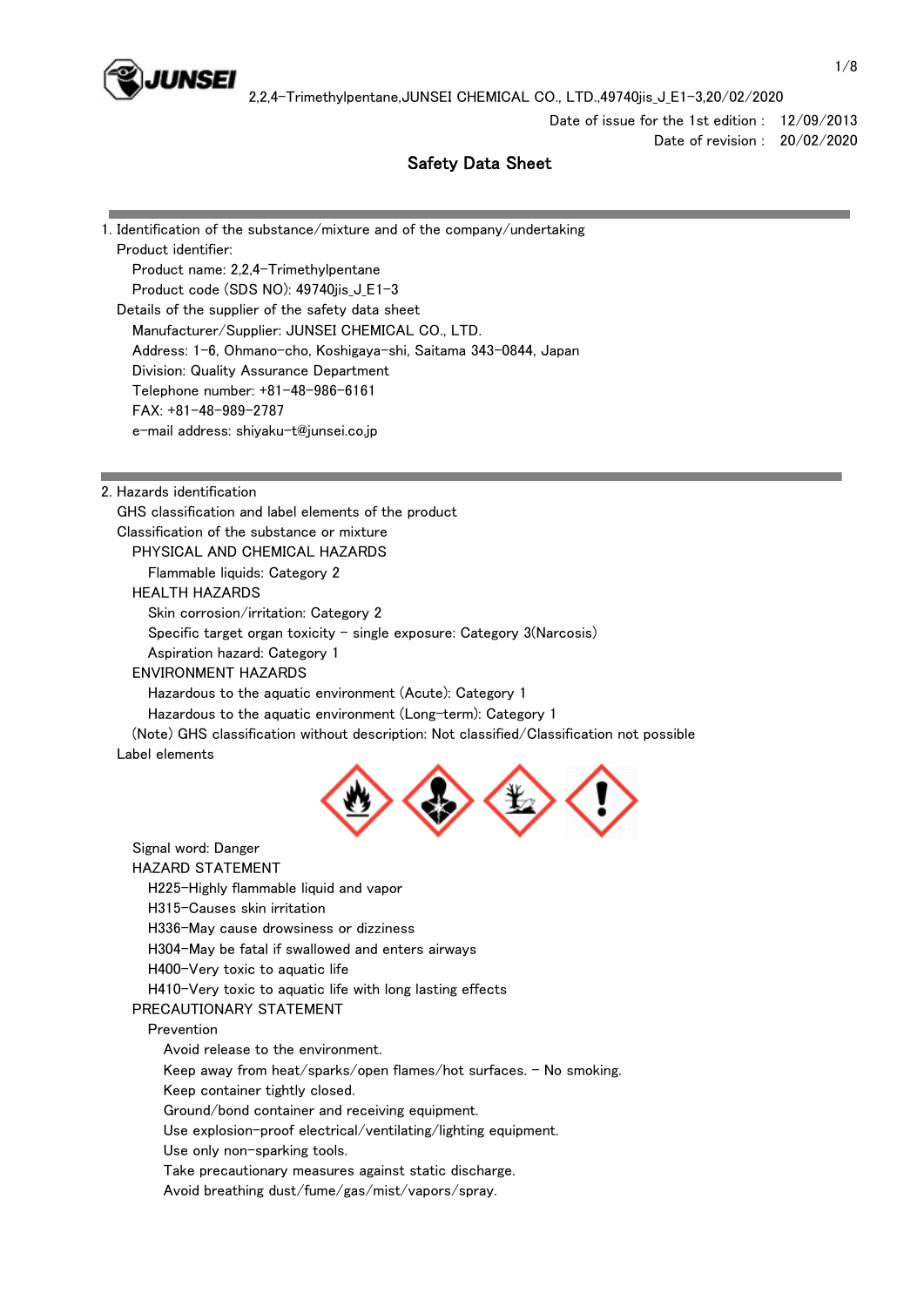

Date of issue for the 1st edition : 12/09/2013 Date of revision : 20/02/2020

# Safety Data Sheet

1. Identification of the substance/mixture and of the company/undertaking Product identifier: Product name: 2,2,4-Trimethylpentane Product code (SDS NO): 49740jis\_J\_E1-3 Details of the supplier of the safety data sheet Manufacturer/Supplier: JUNSEI CHEMICAL CO., LTD. Address: 1-6, Ohmano-cho, Koshigaya-shi, Saitama 343-0844, Japan Division: Quality Assurance Department Telephone number: +81-48-986-6161 FAX: +81-48-989-2787 e-mail address: shiyaku-t@junsei.co.jp

2. Hazards identification

 GHS classification and label elements of the product Classification of the substance or mixture PHYSICAL AND CHEMICAL HAZARDS Flammable liquids: Category 2 HEALTH HAZARDS Skin corrosion/irritation: Category 2 Specific target organ toxicity - single exposure: Category  $3(Narcosis)$  Aspiration hazard: Category 1 ENVIRONMENT HAZARDS Hazardous to the aquatic environment (Acute): Category 1 Hazardous to the aquatic environment (Long-term): Category 1 (Note) GHS classification without description: Not classified/Classification not possible Label elements



 Signal word: Danger HAZARD STATEMENT H225-Highly flammable liquid and vapor H315-Causes skin irritation H336-May cause drowsiness or dizziness H304-May be fatal if swallowed and enters airways H400-Very toxic to aquatic life H410-Very toxic to aquatic life with long lasting effects PRECAUTIONARY STATEMENT Prevention Avoid release to the environment. Keep away from heat/sparks/open flames/hot surfaces. - No smoking. Keep container tightly closed. Ground/bond container and receiving equipment. Use explosion-proof electrical/ventilating/lighting equipment. Use only non-sparking tools. Take precautionary measures against static discharge. Avoid breathing dust/fume/gas/mist/vapors/spray.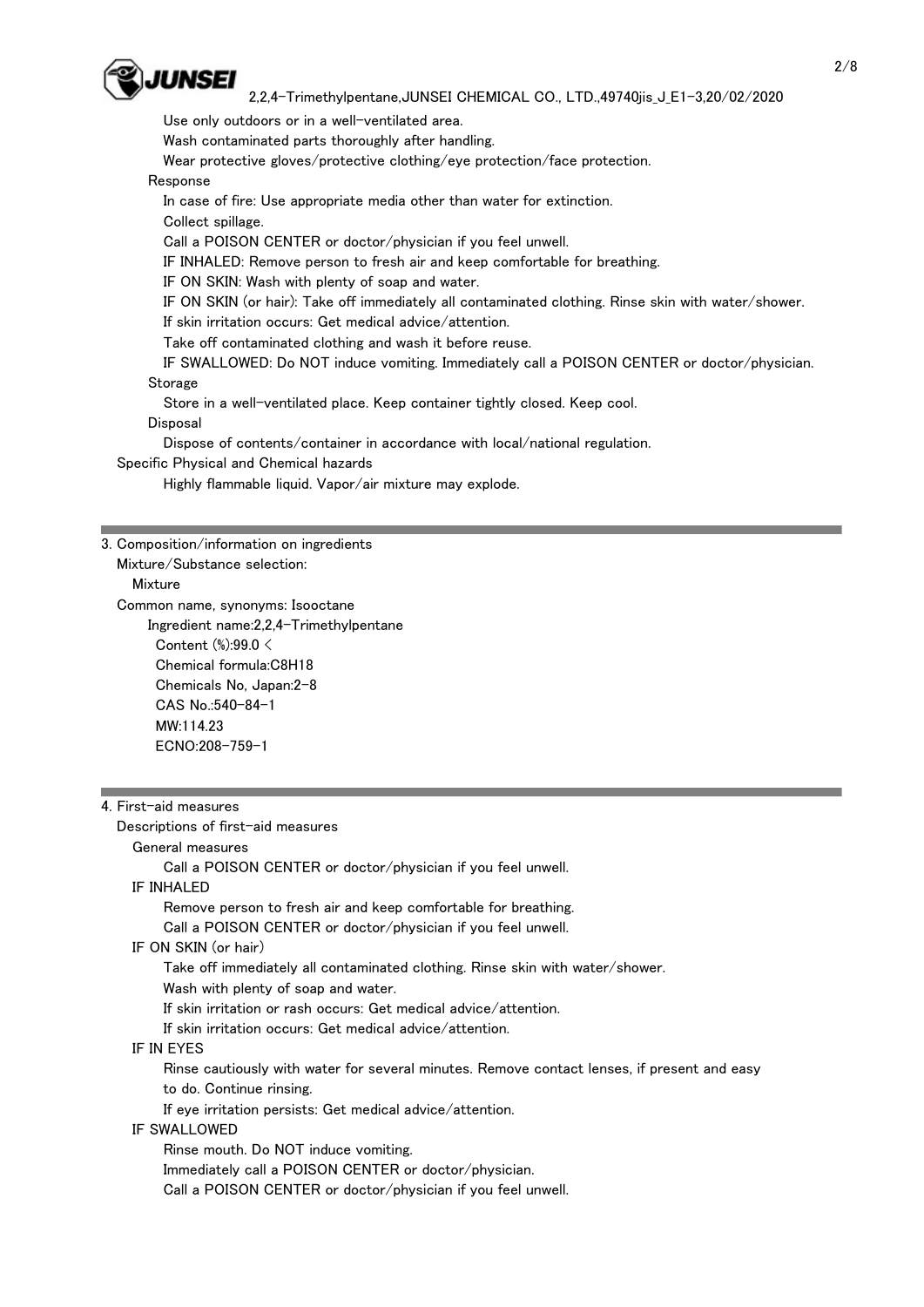

Use only outdoors or in a well-ventilated area.

Wash contaminated parts thoroughly after handling.

Wear protective gloves/protective clothing/eye protection/face protection.

### Response

In case of fire: Use appropriate media other than water for extinction.

Collect spillage.

Call a POISON CENTER or doctor/physician if you feel unwell.

IF INHALED: Remove person to fresh air and keep comfortable for breathing.

IF ON SKIN: Wash with plenty of soap and water.

IF ON SKIN (or hair): Take off immediately all contaminated clothing. Rinse skin with water/shower.

If skin irritation occurs: Get medical advice/attention.

Take off contaminated clothing and wash it before reuse.

 IF SWALLOWED: Do NOT induce vomiting. Immediately call a POISON CENTER or doctor/physician. **Storage** 

Store in a well-ventilated place. Keep container tightly closed. Keep cool.

### Disposal

Dispose of contents/container in accordance with local/national regulation.

Specific Physical and Chemical hazards

Highly flammable liquid. Vapor/air mixture may explode.

## 3. Composition/information on ingredients

Mixture/Substance selection:

Mixture

Common name, synonyms: Isooctane

 Ingredient name:2,2,4-Trimethylpentane Content (%):99.0 < Chemical formula:C8H18 Chemicals No, Japan:2-8 CAS No.:540-84-1 MW:114.23 ECNO:208-759-1

## 4. First-aid measures

 Descriptions of first-aid measures General measures Call a POISON CENTER or doctor/physician if you feel unwell. IF INHALED Remove person to fresh air and keep comfortable for breathing. Call a POISON CENTER or doctor/physician if you feel unwell. IF ON SKIN (or hair) Take off immediately all contaminated clothing. Rinse skin with water/shower. Wash with plenty of soap and water. If skin irritation or rash occurs: Get medical advice/attention. If skin irritation occurs: Get medical advice/attention. IF IN EYES Rinse cautiously with water for several minutes. Remove contact lenses, if present and easy to do. Continue rinsing. If eye irritation persists: Get medical advice/attention. IF SWALLOWED Rinse mouth. Do NOT induce vomiting. Immediately call a POISON CENTER or doctor/physician. Call a POISON CENTER or doctor/physician if you feel unwell.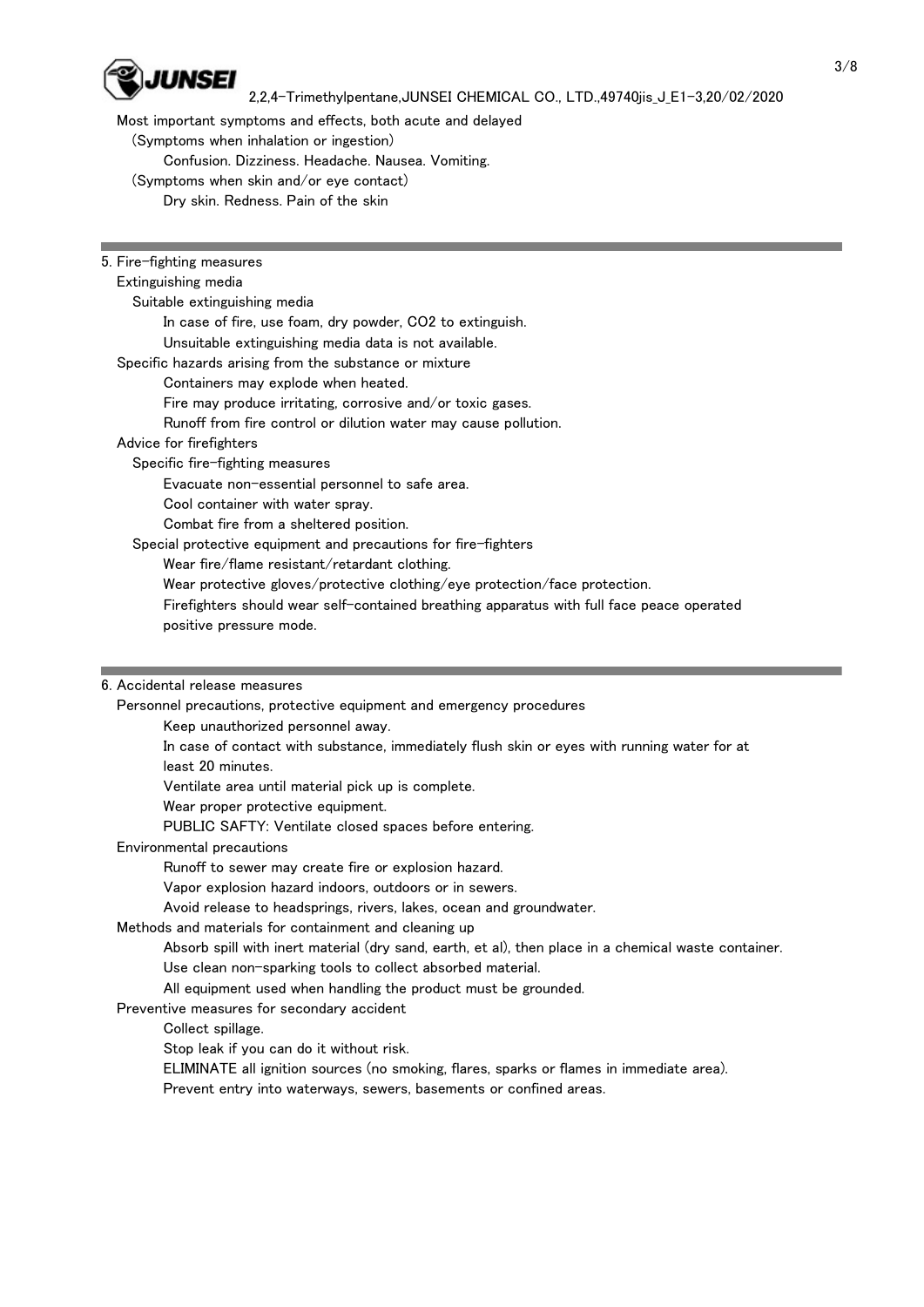

Most important symptoms and effects, both acute and delayed

(Symptoms when inhalation or ingestion)

Confusion. Dizziness. Headache. Nausea. Vomiting.

- (Symptoms when skin and/or eye contact)
	- Dry skin. Redness. Pain of the skin

# 5. Fire-fighting measures

### Extinguishing media

Suitable extinguishing media

In case of fire, use foam, dry powder, CO2 to extinguish.

 Unsuitable extinguishing media data is not available. Specific hazards arising from the substance or mixture

Containers may explode when heated.

Fire may produce irritating, corrosive and/or toxic gases.

Runoff from fire control or dilution water may cause pollution.

## Advice for firefighters

Specific fire-fighting measures

Evacuate non-essential personnel to safe area.

Cool container with water spray.

Combat fire from a sheltered position.

Special protective equipment and precautions for fire-fighters

Wear fire/flame resistant/retardant clothing.

Wear protective gloves/protective clothing/eye protection/face protection.

 Firefighters should wear self-contained breathing apparatus with full face peace operated positive pressure mode.

# 6. Accidental release measures

Personnel precautions, protective equipment and emergency procedures

Keep unauthorized personnel away.

 In case of contact with substance, immediately flush skin or eyes with running water for at least 20 minutes.

Ventilate area until material pick up is complete.

Wear proper protective equipment.

PUBLIC SAFTY: Ventilate closed spaces before entering.

# Environmental precautions

Runoff to sewer may create fire or explosion hazard.

Vapor explosion hazard indoors, outdoors or in sewers.

Avoid release to headsprings, rivers, lakes, ocean and groundwater.

# Methods and materials for containment and cleaning up

 Absorb spill with inert material (dry sand, earth, et al), then place in a chemical waste container. Use clean non-sparking tools to collect absorbed material.

All equipment used when handling the product must be grounded.

# Preventive measures for secondary accident

Collect spillage.

Stop leak if you can do it without risk.

ELIMINATE all ignition sources (no smoking, flares, sparks or flames in immediate area).

Prevent entry into waterways, sewers, basements or confined areas.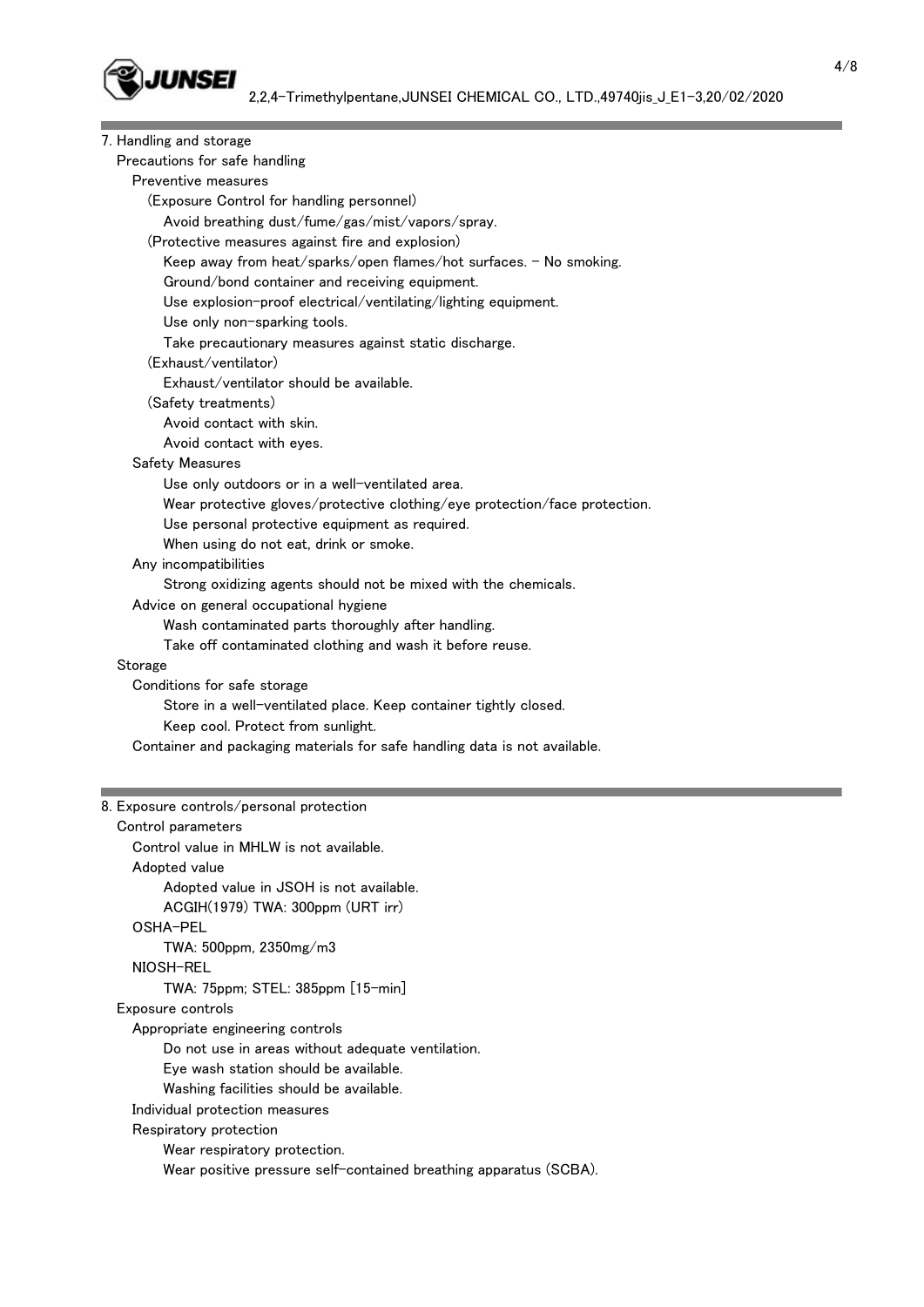| 7. Handling and storage                                                    |  |
|----------------------------------------------------------------------------|--|
| Precautions for safe handling                                              |  |
| Preventive measures                                                        |  |
| (Exposure Control for handling personnel)                                  |  |
| Avoid breathing dust/fume/gas/mist/vapors/spray.                           |  |
| (Protective measures against fire and explosion)                           |  |
| Keep away from heat/sparks/open flames/hot surfaces. - No smoking.         |  |
| Ground/bond container and receiving equipment.                             |  |
| Use explosion-proof electrical/ventilating/lighting equipment.             |  |
| Use only non-sparking tools.                                               |  |
| Take precautionary measures against static discharge.                      |  |
| (Exhaust/ventilator)                                                       |  |
| Exhaust/ventilator should be available.                                    |  |
| (Safety treatments)                                                        |  |
| Avoid contact with skin.                                                   |  |
| Avoid contact with eyes.                                                   |  |
| Safety Measures                                                            |  |
| Use only outdoors or in a well-ventilated area.                            |  |
| Wear protective gloves/protective clothing/eye protection/face protection. |  |
| Use personal protective equipment as required.                             |  |
| When using do not eat, drink or smoke.                                     |  |
| Any incompatibilities                                                      |  |
| Strong oxidizing agents should not be mixed with the chemicals.            |  |
| Advice on general occupational hygiene                                     |  |
| Wash contaminated parts thoroughly after handling.                         |  |
| Take off contaminated clothing and wash it before reuse.                   |  |
| Storage                                                                    |  |
| Conditions for safe storage                                                |  |
| Store in a well-ventilated place. Keep container tightly closed.           |  |
| Keep cool. Protect from sunlight.                                          |  |
| Container and packaging materials for safe handling data is not available. |  |
|                                                                            |  |
| 8. Exposure controls/personal protection                                   |  |
| Control parameters                                                         |  |
| Control value in MHLW is not available.                                    |  |
| Adopted value                                                              |  |
| Adopted value in JSOH is not available.                                    |  |
| ACGIH(1979) TWA: 300ppm (URT irr)                                          |  |
| OSHA-PEL                                                                   |  |
| TWA: 500ppm, 2350mg/m3                                                     |  |
| NIOSH-REL                                                                  |  |
| TWA: 75ppm; STEL: 385ppm [15-min]                                          |  |
| Exposure controls                                                          |  |
| Appropriate engineering controls                                           |  |
| Do not use in areas without adequate ventilation.                          |  |
| Eye wash station should be available.                                      |  |
| Washing facilities should be available.                                    |  |
| Individual protection measures                                             |  |
|                                                                            |  |

Respiratory protection

Wear respiratory protection.

Wear positive pressure self-contained breathing apparatus (SCBA).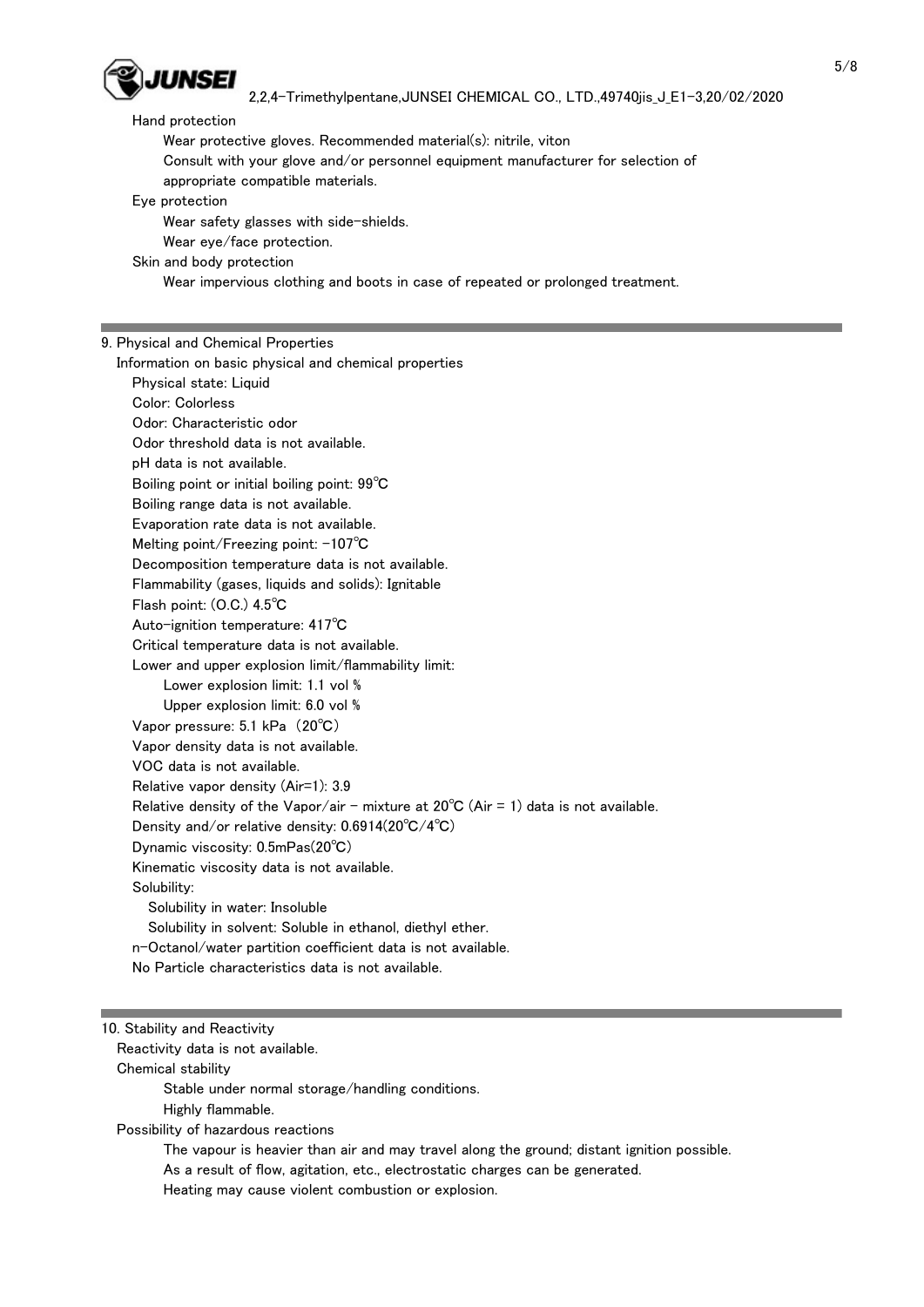

#### Hand protection

Wear protective gloves. Recommended material(s): nitrile, viton

Consult with your glove and/or personnel equipment manufacturer for selection of

appropriate compatible materials.

Eye protection

Wear safety glasses with side-shields.

Wear eye/face protection.

Skin and body protection

Wear impervious clothing and boots in case of repeated or prolonged treatment.

### 9. Physical and Chemical Properties

Information on basic physical and chemical properties

Physical state: Liquid

Color: Colorless

Odor: Characteristic odor

Odor threshold data is not available.

pH data is not available.

Boiling point or initial boiling point: 99℃

Boiling range data is not available.

Evaporation rate data is not available.

Melting point/Freezing point: -107℃

Decomposition temperature data is not available.

Flammability (gases, liquids and solids): Ignitable

Flash point: (O.C.) 4.5℃

Auto-ignition temperature: 417℃

Critical temperature data is not available.

Lower and upper explosion limit/flammability limit:

Lower explosion limit: 1.1 vol %

Upper explosion limit: 6.0 vol %

Vapor pressure: 5.1 kPa (20℃)

Vapor density data is not available.

VOC data is not available.

Relative vapor density (Air=1): 3.9

Relative density of the Vapor/air - mixture at  $20^{\circ}$ C (Air = 1) data is not available.

Density and/or relative density: 0.6914(20℃/4℃)

Dynamic viscosity: 0.5mPas(20℃)

Kinematic viscosity data is not available.

Solubility:

Solubility in water: Insoluble

Solubility in solvent: Soluble in ethanol, diethyl ether.

n-Octanol/water partition coefficient data is not available.

No Particle characteristics data is not available.

### 10. Stability and Reactivity

Reactivity data is not available.

Chemical stability

Stable under normal storage/handling conditions.

Highly flammable.

Possibility of hazardous reactions

The vapour is heavier than air and may travel along the ground; distant ignition possible.

As a result of flow, agitation, etc., electrostatic charges can be generated.

Heating may cause violent combustion or explosion.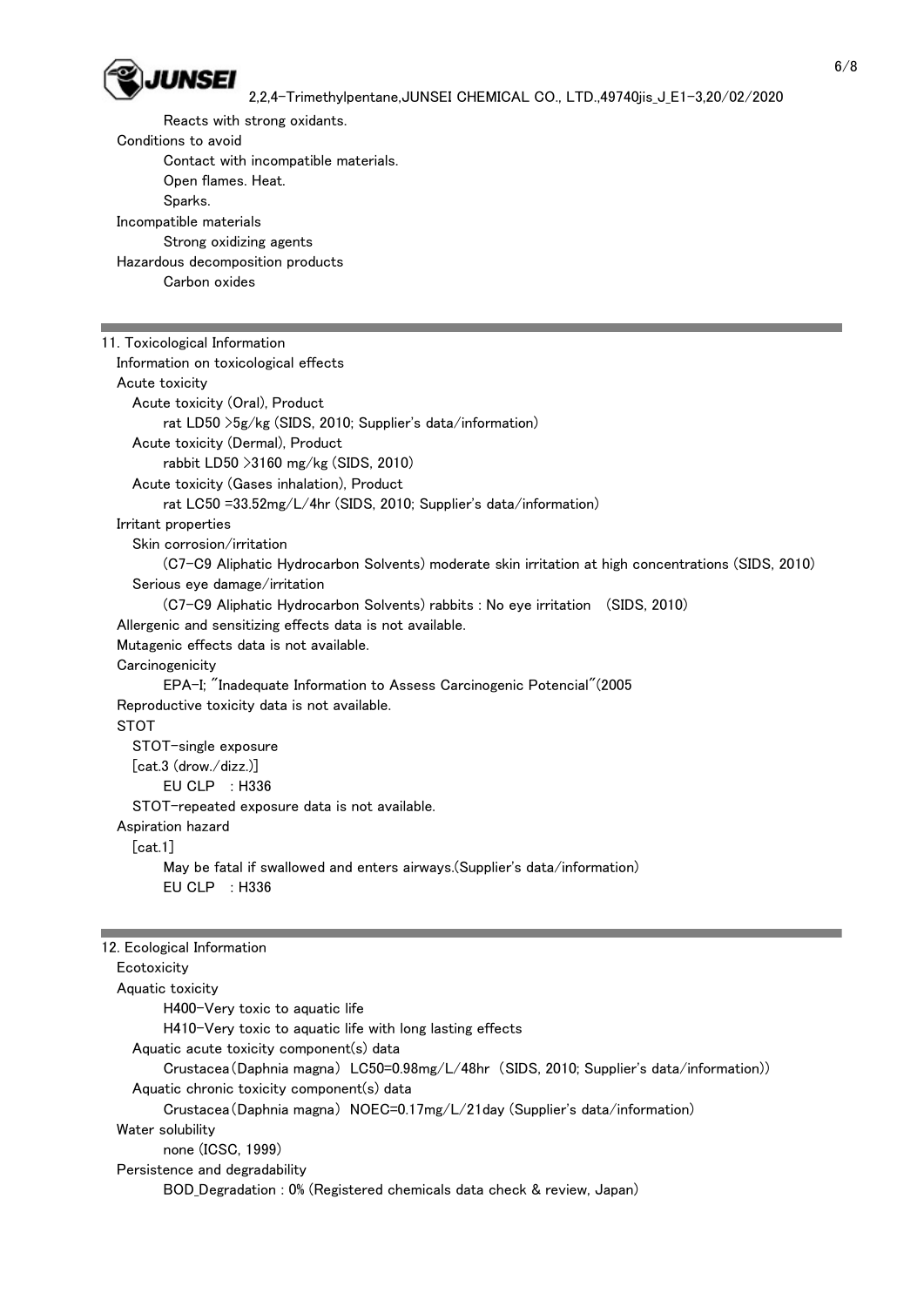

 Reacts with strong oxidants. Conditions to avoid Contact with incompatible materials. Open flames. Heat. Sparks. Incompatible materials Strong oxidizing agents Hazardous decomposition products Carbon oxides 11. Toxicological Information Information on toxicological effects Acute toxicity Acute toxicity (Oral), Product rat LD50 >5g/kg (SIDS, 2010; Supplier's data/information) Acute toxicity (Dermal), Product rabbit LD50 >3160 mg/kg (SIDS, 2010) Acute toxicity (Gases inhalation), Product rat LC50 =33.52mg/L/4hr (SIDS, 2010; Supplier's data/information) Irritant properties Skin corrosion/irritation (C7-C9 Aliphatic Hydrocarbon Solvents) moderate skin irritation at high concentrations (SIDS, 2010) Serious eye damage/irritation (C7-C9 Aliphatic Hydrocarbon Solvents) rabbits : No eye irritation (SIDS, 2010) Allergenic and sensitizing effects data is not available. Mutagenic effects data is not available. **Carcinogenicity**  EPA-I; "Inadequate Information to Assess Carcinogenic Potencial"(2005 Reproductive toxicity data is not available. STOT STOT-single exposure [cat.3 (drow./dizz.)] EU CLP : H336 STOT-repeated exposure data is not available. Aspiration hazard [cat.1] May be fatal if swallowed and enters airways.(Supplier's data/information) EU CLP : H336 12. Ecological Information **Ecotoxicity**  Aquatic toxicity H400-Very toxic to aquatic life H410-Very toxic to aquatic life with long lasting effects Aquatic acute toxicity component(s) data Crustacea(Daphnia magna) LC50=0.98mg/L/48hr (SIDS, 2010; Supplier's data/information)) Aquatic chronic toxicity component(s) data Crustacea(Daphnia magna) NOEC=0.17mg/L/21day (Supplier's data/information) Water solubility none (ICSC, 1999) Persistence and degradability BOD\_Degradation : 0% (Registered chemicals data check & review, Japan)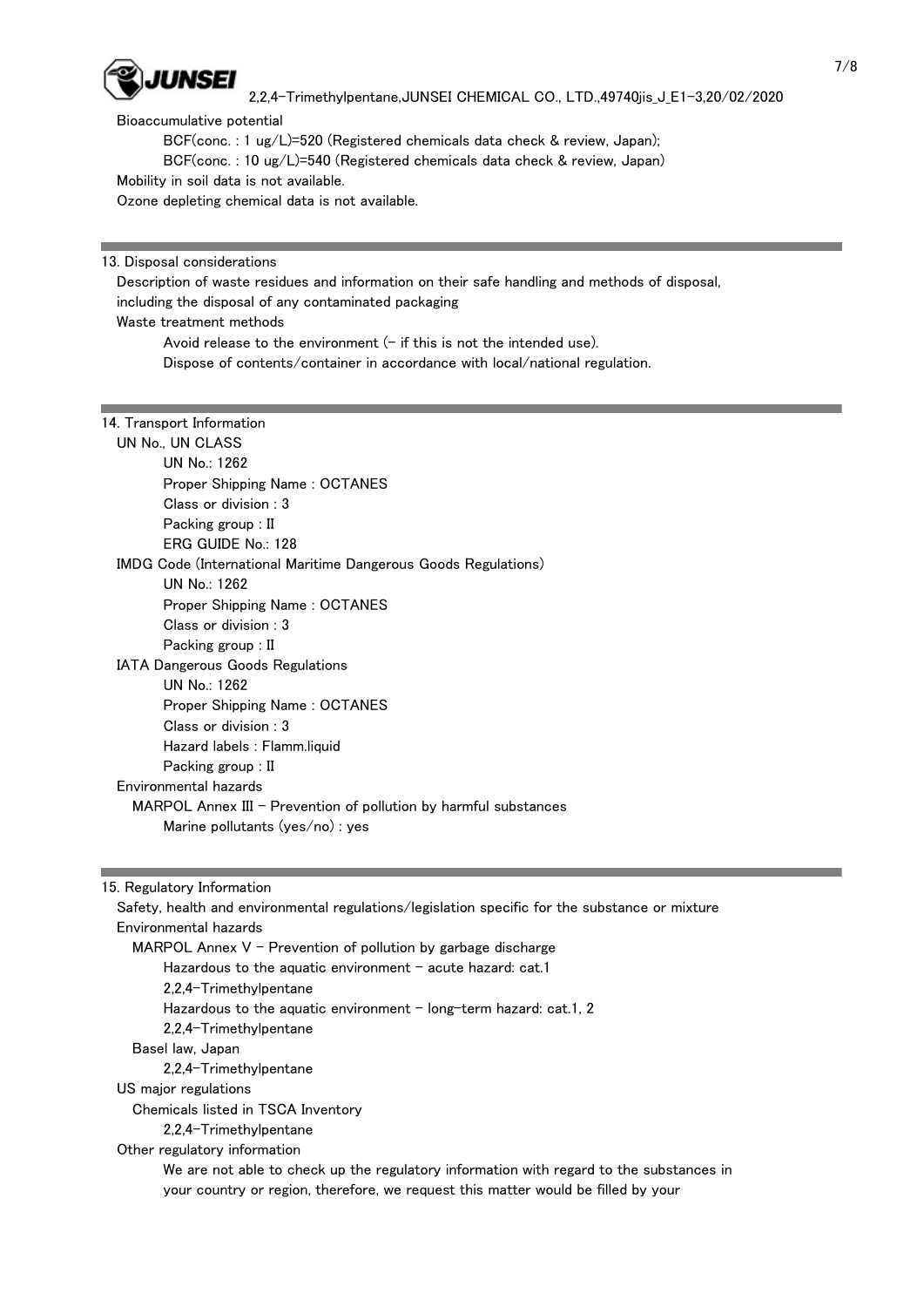

Bioaccumulative potential

BCF(conc. : 1 ug/L)=520 (Registered chemicals data check & review, Japan);

BCF(conc. : 10 ug/L)=540 (Registered chemicals data check & review, Japan)

Mobility in soil data is not available.

Ozone depleting chemical data is not available.

13. Disposal considerations

 Description of waste residues and information on their safe handling and methods of disposal, including the disposal of any contaminated packaging Waste treatment methods

Avoid release to the environment  $(-$  if this is not the intended use).

Dispose of contents/container in accordance with local/national regulation.

### 14. Transport Information

 UN No., UN CLASS UN No.: 1262 Proper Shipping Name : OCTANES Class or division : 3 Packing group : II ERG GUIDE No.: 128 IMDG Code (International Maritime Dangerous Goods Regulations) UN No.: 1262 Proper Shipping Name : OCTANES Class or division : 3 Packing group : II IATA Dangerous Goods Regulations UN No.: 1262 Proper Shipping Name : OCTANES Class or division : 3 Hazard labels : Flamm.liquid Packing group : II Environmental hazards MARPOL Annex III - Prevention of pollution by harmful substances Marine pollutants (yes/no) : yes

15. Regulatory Information

 Safety, health and environmental regulations/legislation specific for the substance or mixture Environmental hazards MARPOL Annex  $V$  - Prevention of pollution by garbage discharge Hazardous to the aquatic environment  $-$  acute hazard: cat.1 2,2,4-Trimethylpentane Hazardous to the aquatic environment  $-$  long-term hazard: cat.1, 2 2,2,4-Trimethylpentane Basel law, Japan 2,2,4-Trimethylpentane US major regulations Chemicals listed in TSCA Inventory 2,2,4-Trimethylpentane Other regulatory information We are not able to check up the regulatory information with regard to the substances in your country or region, therefore, we request this matter would be filled by your